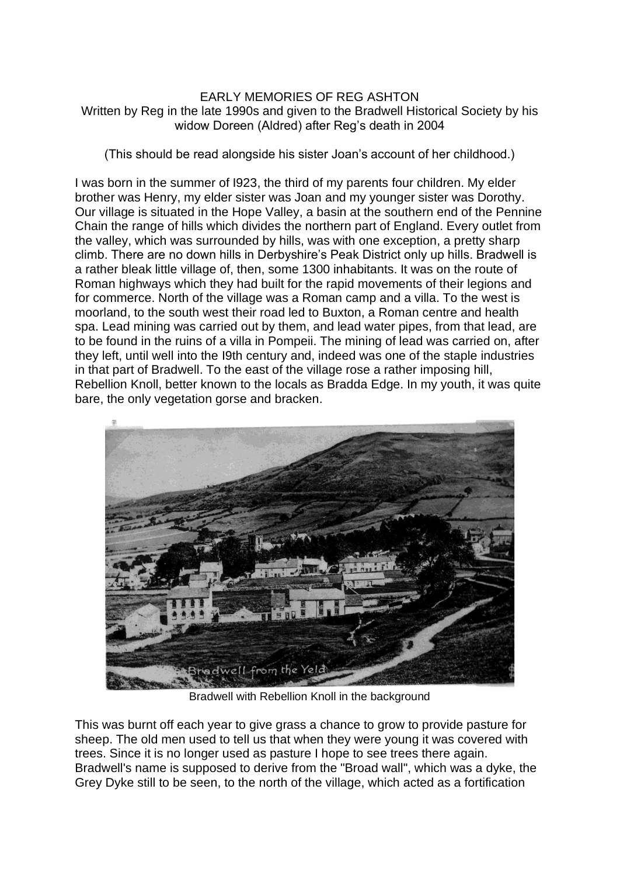## EARLY MEMORIES OF REG ASHTON Written by Reg in the late 1990s and given to the Bradwell Historical Society by his widow Doreen (Aldred) after Reg's death in 2004

(This should be read alongside his sister Joan's account of her childhood.)

I was born in the summer of I923, the third of my parents four children. My elder brother was Henry, my elder sister was Joan and my younger sister was Dorothy. Our village is situated in the Hope Valley, a basin at the southern end of the Pennine Chain the range of hills which divides the northern part of England. Every outlet from the valley, which was surrounded by hills, was with one exception, a pretty sharp climb. There are no down hills in Derbyshire's Peak District only up hills. Bradwell is a rather bleak little village of, then, some 1300 inhabitants. It was on the route of Roman highways which they had built for the rapid movements of their legions and for commerce. North of the village was a Roman camp and a villa. To the west is moorland, to the south west their road led to Buxton, a Roman centre and health spa. Lead mining was carried out by them, and lead water pipes, from that lead, are to be found in the ruins of a villa in Pompeii. The mining of lead was carried on, after they left, until well into the I9th century and, indeed was one of the staple industries in that part of Bradwell. To the east of the village rose a rather imposing hill, Rebellion Knoll, better known to the locals as Bradda Edge. In my youth, it was quite bare, the only vegetation gorse and bracken.



Bradwell with Rebellion Knoll in the background

This was burnt off each year to give grass a chance to grow to provide pasture for sheep. The old men used to tell us that when they were young it was covered with trees. Since it is no longer used as pasture I hope to see trees there again. Bradwell's name is supposed to derive from the "Broad wall", which was a dyke, the Grey Dyke still to be seen, to the north of the village, which acted as a fortification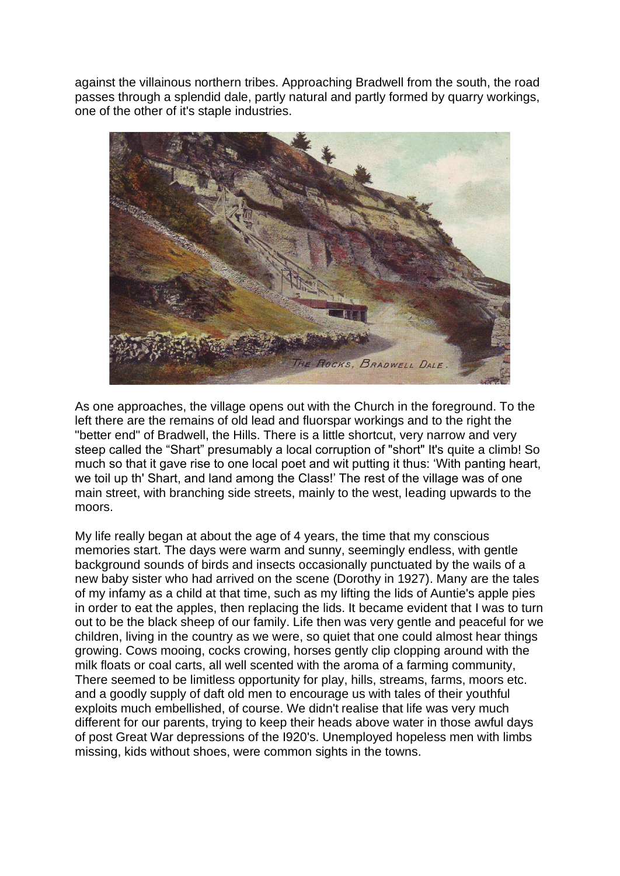against the villainous northern tribes. Approaching Bradwell from the south, the road passes through a splendid dale, partly natural and partly formed by quarry workings, one of the other of it's staple industries.



As one approaches, the village opens out with the Church in the foreground. To the left there are the remains of old lead and fluorspar workings and to the right the "better end" of Bradwell, the Hills. There is a little shortcut, very narrow and very steep called the "Shart" presumably a local corruption of "short" It's quite a climb! So much so that it gave rise to one local poet and wit putting it thus: 'With panting heart, we toil up th' Shart, and land among the Class!' The rest of the village was of one main street, with branching side streets, mainly to the west, leading upwards to the moors.

My life really began at about the age of 4 years, the time that my conscious memories start. The days were warm and sunny, seemingly endless, with gentle background sounds of birds and insects occasionally punctuated by the wails of a new baby sister who had arrived on the scene (Dorothy in 1927). Many are the tales of my infamy as a child at that time, such as my lifting the lids of Auntie's apple pies in order to eat the apples, then replacing the lids. It became evident that I was to turn out to be the black sheep of our family. Life then was very gentle and peaceful for we children, living in the country as we were, so quiet that one could almost hear things growing. Cows mooing, cocks crowing, horses gently clip clopping around with the milk floats or coal carts, all well scented with the aroma of a farming community, There seemed to be limitless opportunity for play, hills, streams, farms, moors etc. and a goodly supply of daft old men to encourage us with tales of their youthful exploits much embellished, of course. We didn't realise that life was very much different for our parents, trying to keep their heads above water in those awful days of post Great War depressions of the I920's. Unemployed hopeless men with limbs missing, kids without shoes, were common sights in the towns.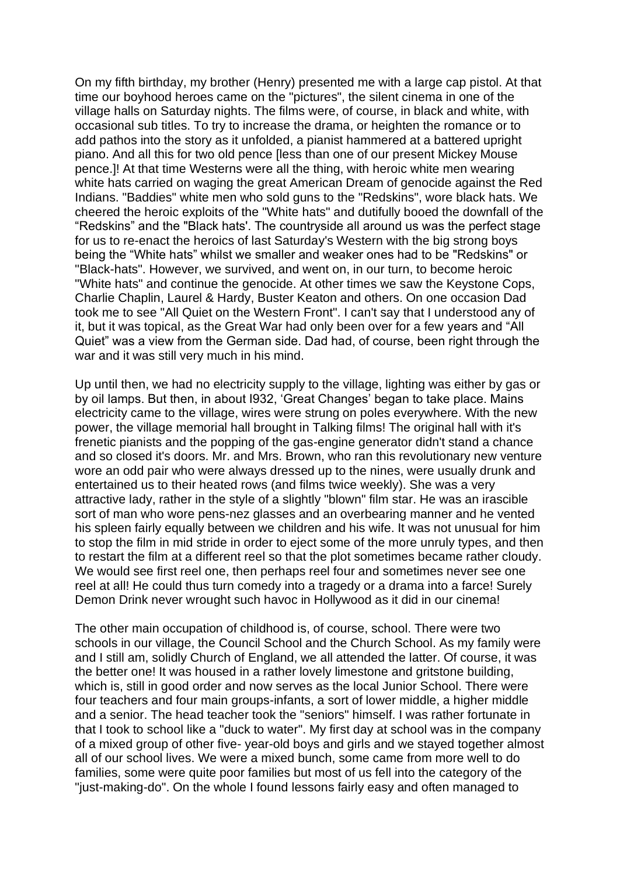On my fifth birthday, my brother (Henry) presented me with a large cap pistol. At that time our boyhood heroes came on the "pictures", the silent cinema in one of the village halls on Saturday nights. The films were, of course, in black and white, with occasional sub titles. To try to increase the drama, or heighten the romance or to add pathos into the story as it unfolded, a pianist hammered at a battered upright piano. And all this for two old pence [less than one of our present Mickey Mouse pence.]! At that time Westerns were all the thing, with heroic white men wearing white hats carried on waging the great American Dream of genocide against the Red Indians. "Baddies" white men who sold guns to the "Redskins", wore black hats. We cheered the heroic exploits of the "White hats" and dutifully booed the downfall of the "Redskins" and the "Black hats'. The countryside all around us was the perfect stage for us to re-enact the heroics of last Saturday's Western with the big strong boys being the "White hats" whilst we smaller and weaker ones had to be "Redskins" or "Black-hats". However, we survived, and went on, in our turn, to become heroic "White hats" and continue the genocide. At other times we saw the Keystone Cops, Charlie Chaplin, Laurel & Hardy, Buster Keaton and others. On one occasion Dad took me to see "All Quiet on the Western Front". I can't say that I understood any of it, but it was topical, as the Great War had only been over for a few years and "All Quiet" was a view from the German side. Dad had, of course, been right through the war and it was still very much in his mind.

Up until then, we had no electricity supply to the village, lighting was either by gas or by oil lamps. But then, in about I932, 'Great Changes' began to take place. Mains electricity came to the village, wires were strung on poles everywhere. With the new power, the village memorial hall brought in Talking films! The original hall with it's frenetic pianists and the popping of the gas-engine generator didn't stand a chance and so closed it's doors. Mr. and Mrs. Brown, who ran this revolutionary new venture wore an odd pair who were always dressed up to the nines, were usually drunk and entertained us to their heated rows (and films twice weekly). She was a very attractive lady, rather in the style of a slightly "blown" film star. He was an irascible sort of man who wore pens-nez glasses and an overbearing manner and he vented his spleen fairly equally between we children and his wife. It was not unusual for him to stop the film in mid stride in order to eject some of the more unruly types, and then to restart the film at a different reel so that the plot sometimes became rather cloudy. We would see first reel one, then perhaps reel four and sometimes never see one reel at all! He could thus turn comedy into a tragedy or a drama into a farce! Surely Demon Drink never wrought such havoc in Hollywood as it did in our cinema!

The other main occupation of childhood is, of course, school. There were two schools in our village, the Council School and the Church School. As my family were and I still am, solidly Church of England, we all attended the latter. Of course, it was the better one! It was housed in a rather lovely limestone and gritstone building, which is, still in good order and now serves as the local Junior School. There were four teachers and four main groups-infants, a sort of lower middle, a higher middle and a senior. The head teacher took the "seniors" himself. I was rather fortunate in that I took to school like a "duck to water". My first day at school was in the company of a mixed group of other five- year-old boys and girls and we stayed together almost all of our school lives. We were a mixed bunch, some came from more well to do families, some were quite poor families but most of us fell into the category of the "just-making-do". On the whole I found lessons fairly easy and often managed to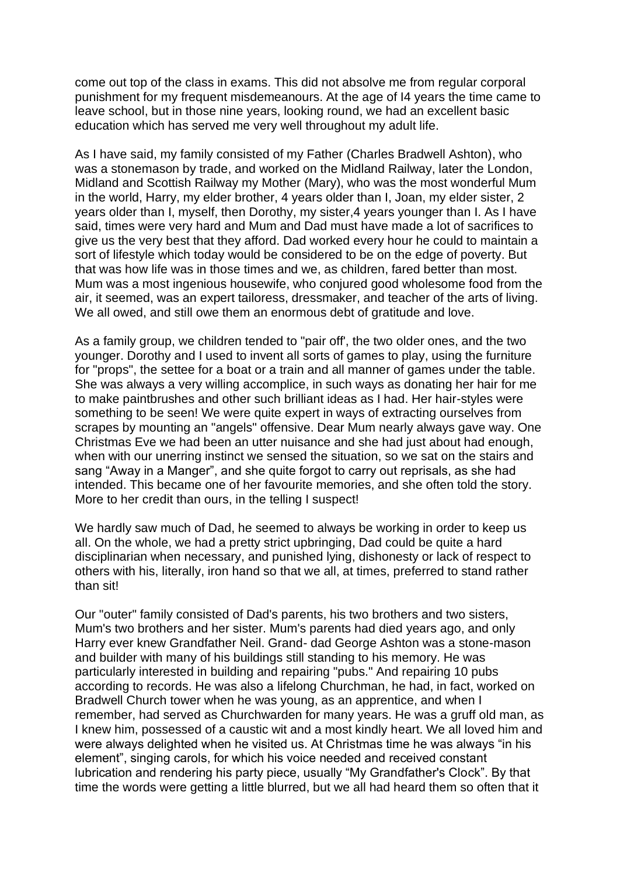come out top of the class in exams. This did not absolve me from regular corporal punishment for my frequent misdemeanours. At the age of I4 years the time came to leave school, but in those nine years, looking round, we had an excellent basic education which has served me very well throughout my adult life.

As I have said, my family consisted of my Father (Charles Bradwell Ashton), who was a stonemason by trade, and worked on the Midland Railway, later the London, Midland and Scottish Railway my Mother (Mary), who was the most wonderful Mum in the world, Harry, my elder brother, 4 years older than I, Joan, my elder sister, 2 years older than I, myself, then Dorothy, my sister,4 years younger than I. As I have said, times were very hard and Mum and Dad must have made a lot of sacrifices to give us the very best that they afford. Dad worked every hour he could to maintain a sort of lifestyle which today would be considered to be on the edge of poverty. But that was how life was in those times and we, as children, fared better than most. Mum was a most ingenious housewife, who conjured good wholesome food from the air, it seemed, was an expert tailoress, dressmaker, and teacher of the arts of living. We all owed, and still owe them an enormous debt of gratitude and love.

As a family group, we children tended to "pair off', the two older ones, and the two younger. Dorothy and I used to invent all sorts of games to play, using the furniture for "props", the settee for a boat or a train and all manner of games under the table. She was always a very willing accomplice, in such ways as donating her hair for me to make paintbrushes and other such brilliant ideas as I had. Her hair-styles were something to be seen! We were quite expert in ways of extracting ourselves from scrapes by mounting an "angels" offensive. Dear Mum nearly always gave way. One Christmas Eve we had been an utter nuisance and she had just about had enough, when with our unerring instinct we sensed the situation, so we sat on the stairs and sang "Away in a Manger", and she quite forgot to carry out reprisals, as she had intended. This became one of her favourite memories, and she often told the story. More to her credit than ours, in the telling I suspect!

We hardly saw much of Dad, he seemed to always be working in order to keep us all. On the whole, we had a pretty strict upbringing, Dad could be quite a hard disciplinarian when necessary, and punished lying, dishonesty or lack of respect to others with his, literally, iron hand so that we all, at times, preferred to stand rather than sit!

Our "outer" family consisted of Dad's parents, his two brothers and two sisters, Mum's two brothers and her sister. Mum's parents had died years ago, and only Harry ever knew Grandfather Neil. Grand- dad George Ashton was a stone-mason and builder with many of his buildings still standing to his memory. He was particularly interested in building and repairing "pubs." And repairing 10 pubs according to records. He was also a lifelong Churchman, he had, in fact, worked on Bradwell Church tower when he was young, as an apprentice, and when I remember, had served as Churchwarden for many years. He was a gruff old man, as I knew him, possessed of a caustic wit and a most kindly heart. We all loved him and were always delighted when he visited us. At Christmas time he was always "in his element", singing carols, for which his voice needed and received constant lubrication and rendering his party piece, usually "My Grandfather's Clock". By that time the words were getting a little blurred, but we all had heard them so often that it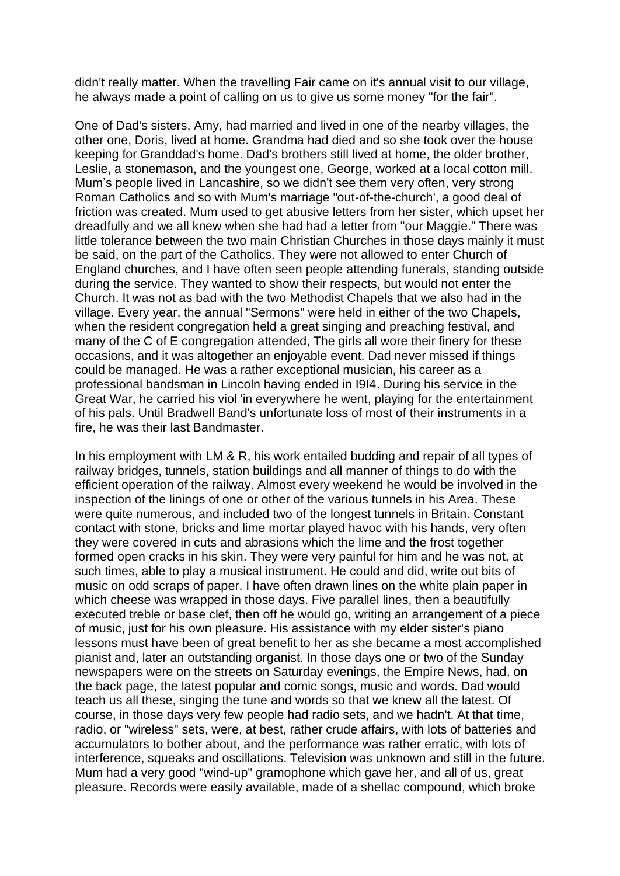didn't really matter. When the travelling Fair came on it's annual visit to our village, he always made a point of calling on us to give us some money "for the fair".

One of Dad's sisters, Amy, had married and lived in one of the nearby villages, the other one, Doris, lived at home. Grandma had died and so she took over the house keeping for Granddad's home. Dad's brothers still lived at home, the older brother, Leslie, a stonemason, and the youngest one, George, worked at a local cotton mill. Mum's people lived in Lancashire, so we didn't see them very often, very strong Roman Catholics and so with Mum's marriage "out-of-the-church', a good deal of friction was created. Mum used to get abusive letters from her sister, which upset her dreadfully and we all knew when she had had a letter from "our Maggie." There was little tolerance between the two main Christian Churches in those days mainly it must be said, on the part of the Catholics. They were not allowed to enter Church of England churches, and I have often seen people attending funerals, standing outside during the service. They wanted to show their respects, but would not enter the Church. It was not as bad with the two Methodist Chapels that we also had in the village. Every year, the annual "Sermons" were held in either of the two Chapels, when the resident congregation held a great singing and preaching festival, and many of the C of E congregation attended, The girls all wore their finery for these occasions, and it was altogether an enjoyable event. Dad never missed if things could be managed. He was a rather exceptional musician, his career as a professional bandsman in Lincoln having ended in I9I4. During his service in the Great War, he carried his viol 'in everywhere he went, playing for the entertainment of his pals. Until Bradwell Band's unfortunate loss of most of their instruments in a fire, he was their last Bandmaster.

In his employment with LM & R, his work entailed budding and repair of all types of railway bridges, tunnels, station buildings and all manner of things to do with the efficient operation of the railway. Almost every weekend he would be involved in the inspection of the linings of one or other of the various tunnels in his Area. These were quite numerous, and included two of the longest tunnels in Britain. Constant contact with stone, bricks and lime mortar played havoc with his hands, very often they were covered in cuts and abrasions which the lime and the frost together formed open cracks in his skin. They were very painful for him and he was not, at such times, able to play a musical instrument. He could and did, write out bits of music on odd scraps of paper. I have often drawn lines on the white plain paper in which cheese was wrapped in those days. Five parallel lines, then a beautifully executed treble or base clef, then off he would go, writing an arrangement of a piece of music, just for his own pleasure. His assistance with my elder sister's piano lessons must have been of great benefit to her as she became a most accomplished pianist and, later an outstanding organist. In those days one or two of the Sunday newspapers were on the streets on Saturday evenings, the Empire News, had, on the back page, the latest popular and comic songs, music and words. Dad would teach us all these, singing the tune and words so that we knew all the latest. Of course, in those days very few people had radio sets, and we hadn't. At that time, radio, or "wireless" sets, were, at best, rather crude affairs, with lots of batteries and accumulators to bother about, and the performance was rather erratic, with lots of interference, squeaks and oscillations. Television was unknown and still in the future. Mum had a very good "wind-up" gramophone which gave her, and all of us, great pleasure. Records were easily available, made of a shellac compound, which broke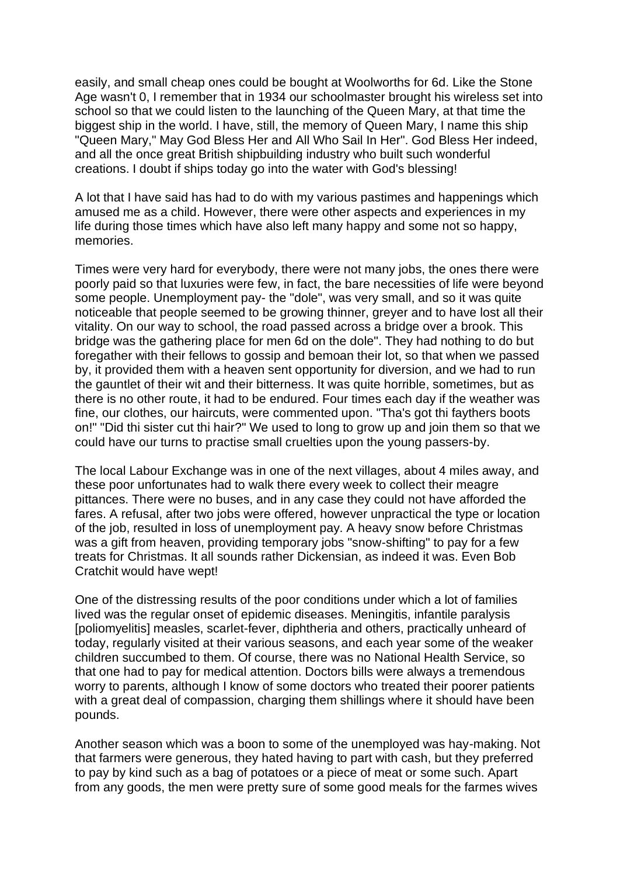easily, and small cheap ones could be bought at Woolworths for 6d. Like the Stone Age wasn't 0, I remember that in 1934 our schoolmaster brought his wireless set into school so that we could listen to the launching of the Queen Mary, at that time the biggest ship in the world. I have, still, the memory of Queen Mary, I name this ship "Queen Mary," May God Bless Her and All Who Sail In Her". God Bless Her indeed, and all the once great British shipbuilding industry who built such wonderful creations. I doubt if ships today go into the water with God's blessing!

A lot that I have said has had to do with my various pastimes and happenings which amused me as a child. However, there were other aspects and experiences in my life during those times which have also left many happy and some not so happy, memories.

Times were very hard for everybody, there were not many jobs, the ones there were poorly paid so that luxuries were few, in fact, the bare necessities of life were beyond some people. Unemployment pay- the "dole", was very small, and so it was quite noticeable that people seemed to be growing thinner, greyer and to have lost all their vitality. On our way to school, the road passed across a bridge over a brook. This bridge was the gathering place for men 6d on the dole". They had nothing to do but foregather with their fellows to gossip and bemoan their lot, so that when we passed by, it provided them with a heaven sent opportunity for diversion, and we had to run the gauntlet of their wit and their bitterness. It was quite horrible, sometimes, but as there is no other route, it had to be endured. Four times each day if the weather was fine, our clothes, our haircuts, were commented upon. "Tha's got thi faythers boots on!" "Did thi sister cut thi hair?" We used to long to grow up and join them so that we could have our turns to practise small cruelties upon the young passers-by.

The local Labour Exchange was in one of the next villages, about 4 miles away, and these poor unfortunates had to walk there every week to collect their meagre pittances. There were no buses, and in any case they could not have afforded the fares. A refusal, after two jobs were offered, however unpractical the type or location of the job, resulted in loss of unemployment pay. A heavy snow before Christmas was a gift from heaven, providing temporary jobs "snow-shifting" to pay for a few treats for Christmas. It all sounds rather Dickensian, as indeed it was. Even Bob Cratchit would have wept!

One of the distressing results of the poor conditions under which a lot of families lived was the regular onset of epidemic diseases. Meningitis, infantile paralysis [poliomyelitis] measles, scarlet-fever, diphtheria and others, practically unheard of today, regularly visited at their various seasons, and each year some of the weaker children succumbed to them. Of course, there was no National Health Service, so that one had to pay for medical attention. Doctors bills were always a tremendous worry to parents, although I know of some doctors who treated their poorer patients with a great deal of compassion, charging them shillings where it should have been pounds.

Another season which was a boon to some of the unemployed was hay-making. Not that farmers were generous, they hated having to part with cash, but they preferred to pay by kind such as a bag of potatoes or a piece of meat or some such. Apart from any goods, the men were pretty sure of some good meals for the farmes wives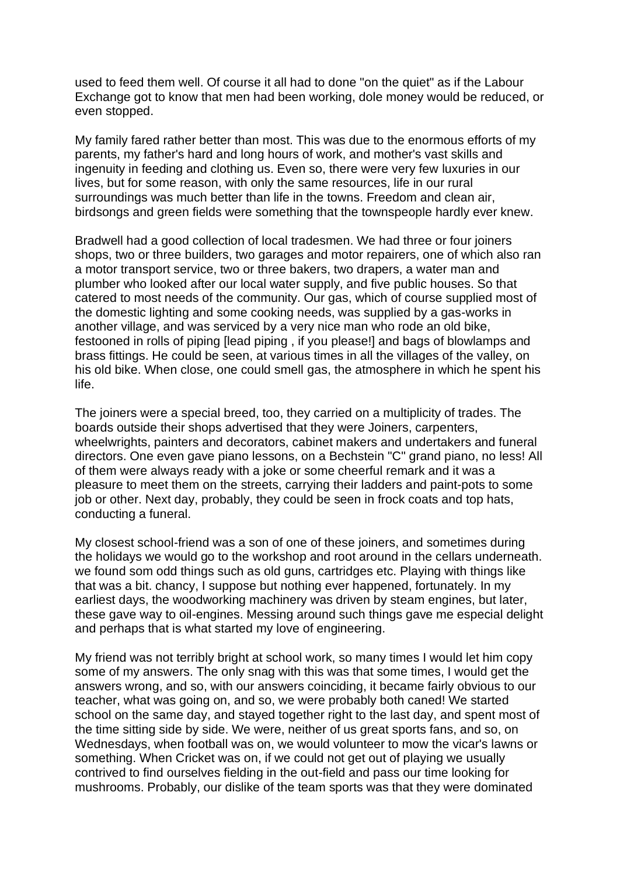used to feed them well. Of course it all had to done "on the quiet" as if the Labour Exchange got to know that men had been working, dole money would be reduced, or even stopped.

My family fared rather better than most. This was due to the enormous efforts of my parents, my father's hard and long hours of work, and mother's vast skills and ingenuity in feeding and clothing us. Even so, there were very few luxuries in our lives, but for some reason, with only the same resources, life in our rural surroundings was much better than life in the towns. Freedom and clean air, birdsongs and green fields were something that the townspeople hardly ever knew.

Bradwell had a good collection of local tradesmen. We had three or four joiners shops, two or three builders, two garages and motor repairers, one of which also ran a motor transport service, two or three bakers, two drapers, a water man and plumber who looked after our local water supply, and five public houses. So that catered to most needs of the community. Our gas, which of course supplied most of the domestic lighting and some cooking needs, was supplied by a gas-works in another village, and was serviced by a very nice man who rode an old bike, festooned in rolls of piping [lead piping , if you please!] and bags of blowlamps and brass fittings. He could be seen, at various times in all the villages of the valley, on his old bike. When close, one could smell gas, the atmosphere in which he spent his life.

The joiners were a special breed, too, they carried on a multiplicity of trades. The boards outside their shops advertised that they were Joiners, carpenters, wheelwrights, painters and decorators, cabinet makers and undertakers and funeral directors. One even gave piano lessons, on a Bechstein "C" grand piano, no less! All of them were always ready with a joke or some cheerful remark and it was a pleasure to meet them on the streets, carrying their ladders and paint-pots to some job or other. Next day, probably, they could be seen in frock coats and top hats, conducting a funeral.

My closest school-friend was a son of one of these joiners, and sometimes during the holidays we would go to the workshop and root around in the cellars underneath. we found som odd things such as old guns, cartridges etc. Playing with things like that was a bit. chancy, I suppose but nothing ever happened, fortunately. In my earliest days, the woodworking machinery was driven by steam engines, but later, these gave way to oil-engines. Messing around such things gave me especial delight and perhaps that is what started my love of engineering.

My friend was not terribly bright at school work, so many times I would let him copy some of my answers. The only snag with this was that some times, I would get the answers wrong, and so, with our answers coinciding, it became fairly obvious to our teacher, what was going on, and so, we were probably both caned! We started school on the same day, and stayed together right to the last day, and spent most of the time sitting side by side. We were, neither of us great sports fans, and so, on Wednesdays, when football was on, we would volunteer to mow the vicar's lawns or something. When Cricket was on, if we could not get out of playing we usually contrived to find ourselves fielding in the out-field and pass our time looking for mushrooms. Probably, our dislike of the team sports was that they were dominated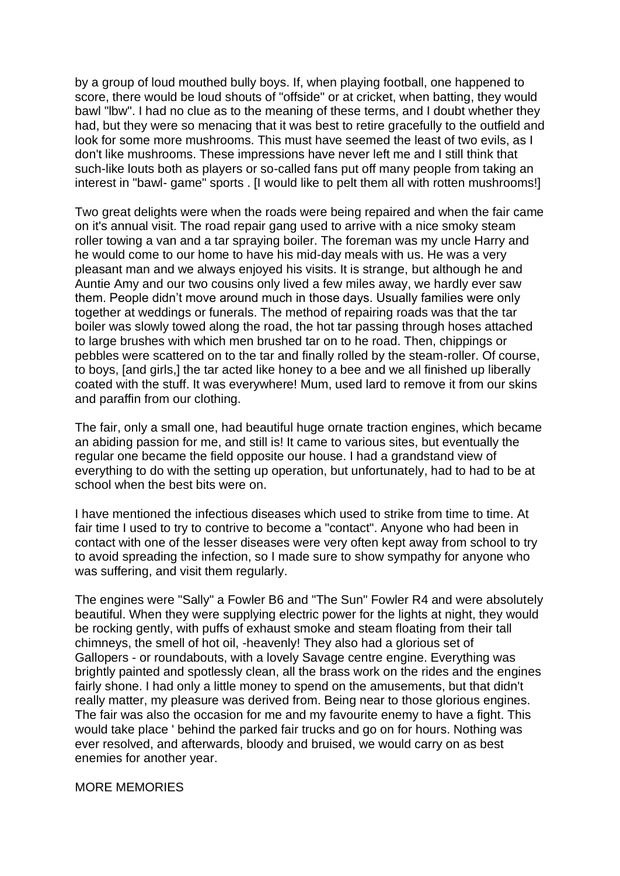by a group of loud mouthed bully boys. If, when playing football, one happened to score, there would be loud shouts of "offside" or at cricket, when batting, they would bawl "lbw". I had no clue as to the meaning of these terms, and I doubt whether they had, but they were so menacing that it was best to retire gracefully to the outfield and look for some more mushrooms. This must have seemed the least of two evils, as I don't like mushrooms. These impressions have never left me and I still think that such-like louts both as players or so-called fans put off many people from taking an interest in "bawl- game" sports . [I would like to pelt them all with rotten mushrooms!]

Two great delights were when the roads were being repaired and when the fair came on it's annual visit. The road repair gang used to arrive with a nice smoky steam roller towing a van and a tar spraying boiler. The foreman was my uncle Harry and he would come to our home to have his mid-day meals with us. He was a very pleasant man and we always enjoyed his visits. It is strange, but although he and Auntie Amy and our two cousins only lived a few miles away, we hardly ever saw them. People didn't move around much in those days. Usually families were only together at weddings or funerals. The method of repairing roads was that the tar boiler was slowly towed along the road, the hot tar passing through hoses attached to large brushes with which men brushed tar on to he road. Then, chippings or pebbles were scattered on to the tar and finally rolled by the steam-roller. Of course, to boys, [and girls,] the tar acted like honey to a bee and we all finished up liberally coated with the stuff. It was everywhere! Mum, used lard to remove it from our skins and paraffin from our clothing.

The fair, only a small one, had beautiful huge ornate traction engines, which became an abiding passion for me, and still is! It came to various sites, but eventually the regular one became the field opposite our house. I had a grandstand view of everything to do with the setting up operation, but unfortunately, had to had to be at school when the best bits were on.

I have mentioned the infectious diseases which used to strike from time to time. At fair time I used to try to contrive to become a "contact". Anyone who had been in contact with one of the lesser diseases were very often kept away from school to try to avoid spreading the infection, so I made sure to show sympathy for anyone who was suffering, and visit them regularly.

The engines were "Sally" a Fowler B6 and "The Sun" Fowler R4 and were absolutely beautiful. When they were supplying electric power for the lights at night, they would be rocking gently, with puffs of exhaust smoke and steam floating from their tall chimneys, the smell of hot oil, -heavenly! They also had a glorious set of Gallopers - or roundabouts, with a lovely Savage centre engine. Everything was brightly painted and spotlessly clean, all the brass work on the rides and the engines fairly shone. I had only a little money to spend on the amusements, but that didn't really matter, my pleasure was derived from. Being near to those glorious engines. The fair was also the occasion for me and my favourite enemy to have a fight. This would take place ' behind the parked fair trucks and go on for hours. Nothing was ever resolved, and afterwards, bloody and bruised, we would carry on as best enemies for another year.

## MORE MEMORIES